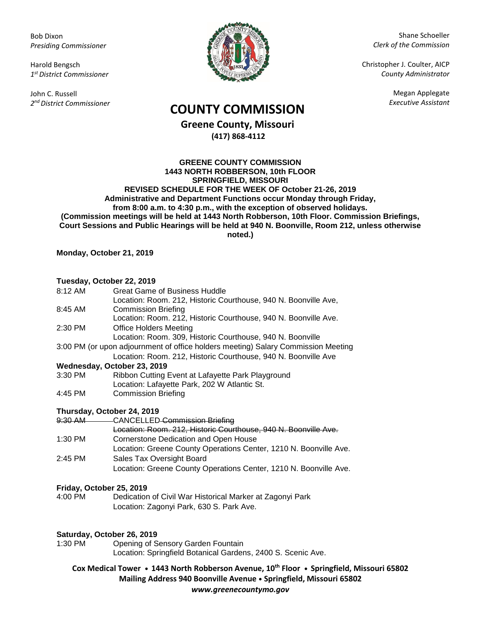Bob Dixon *Presiding Commissioner*

Harold Bengsch *1 st District Commissioner*

John C. Russell *2 nd District Commissioner*



Shane Schoeller *Clerk of the Commission*

Christopher J. Coulter, AICP *County Administrator*

Megan Applegate

# *Executive Assistant* **COUNTY COMMISSION**

**Greene County, Missouri (417) 868-4112**

**GREENE COUNTY COMMISSION 1443 NORTH ROBBERSON, 10th FLOOR SPRINGFIELD, MISSOURI REVISED SCHEDULE FOR THE WEEK OF October 21-26, 2019 Administrative and Department Functions occur Monday through Friday, from 8:00 a.m. to 4:30 p.m., with the exception of observed holidays. (Commission meetings will be held at 1443 North Robberson, 10th Floor. Commission Briefings, Court Sessions and Public Hearings will be held at 940 N. Boonville, Room 212, unless otherwise noted.)**

**Monday, October 21, 2019** 

### **Tuesday, October 22, 2019**

| 8:12 AM | <b>Great Game of Business Huddle</b>                                              |
|---------|-----------------------------------------------------------------------------------|
|         | Location: Room. 212, Historic Courthouse, 940 N. Boonville Ave,                   |
| 8:45 AM | <b>Commission Briefing</b>                                                        |
|         | Location: Room. 212, Historic Courthouse, 940 N. Boonville Ave.                   |
| 2:30 PM | <b>Office Holders Meeting</b>                                                     |
|         | Location: Room. 309, Historic Courthouse, 940 N. Boonville                        |
|         | 3:00 PM (or upon adjournment of office holders meeting) Salary Commission Meeting |
|         | Location: Room. 212, Historic Courthouse, 940 N. Boonville Ave                    |
|         | Madneeday October 22, 2010                                                        |

#### **Wednesday, October 23, 2019**

| 3:30 PM | Ribbon Cutting Event at Lafayette Park Playground |
|---------|---------------------------------------------------|
|         | Location: Lafayette Park, 202 W Atlantic St.      |
| 4:45 PM | <b>Commission Briefing</b>                        |

#### **Thursday, October 24, 2019**

|         | 9:30 AM CANCELLED Commission Briefing                             |
|---------|-------------------------------------------------------------------|
|         | Location: Room. 212, Historic Courthouse, 940 N. Boonville Ave.   |
| 1:30 PM | Cornerstone Dedication and Open House                             |
|         | Location: Greene County Operations Center, 1210 N. Boonville Ave. |
| 2:45 PM | Sales Tax Oversight Board                                         |
|         | Location: Greene County Operations Center, 1210 N. Boonville Ave. |

## **Friday, October 25, 2019**

Dedication of Civil War Historical Marker at Zagonyi Park Location: Zagonyi Park, 630 S. Park Ave.

#### **Saturday, October 26, 2019**

1:30 PM Opening of Sensory Garden Fountain Location: Springfield Botanical Gardens, 2400 S. Scenic Ave.

**Cox Medical Tower • 1443 North Robberson Avenue, 10th Floor • Springfield, Missouri 65802 Mailing Address 940 Boonville Avenue • Springfield, Missouri 65802** *www.greenecountymo.gov*